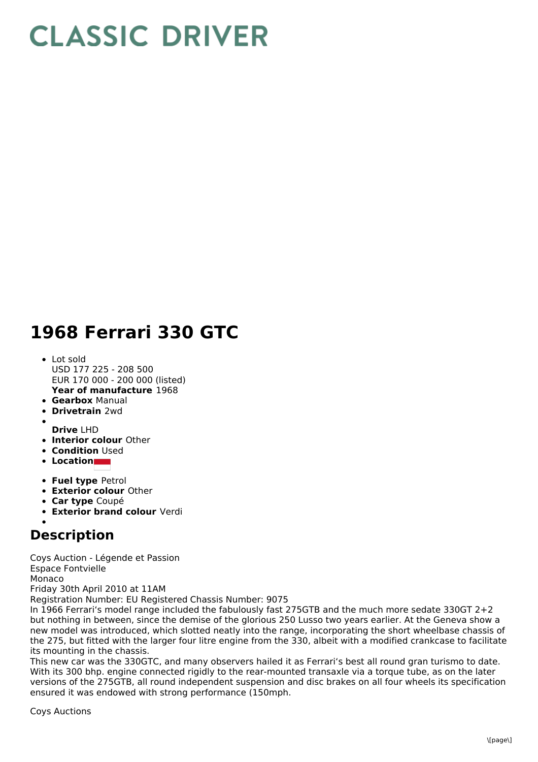## **CLASSIC DRIVER**

## **1968 Ferrari 330 GTC**

- **Year of manufacture** 1968 • Lot sold USD 177 225 - 208 500 EUR 170 000 - 200 000 (listed)
- **Gearbox** Manual
- **Drivetrain** 2wd
- 
- **Drive** LHD
- **Interior colour** Other
- **Condition** Used
- **Location**
- **Fuel type** Petrol
- **Exterior colour** Other
- **Car type** Coupé
- **Exterior brand colour** Verdi

## **Description**

Coys Auction - Légende et Passion Espace Fontvielle Monaco Friday 30th April 2010 at 11AM Registration Number: EU Registered Chassis Number: 9075

In 1966 Ferrari's model range included the fabulously fast 275GTB and the much more sedate 330GT 2+2 but nothing in between, since the demise of the glorious 250 Lusso two years earlier. At the Geneva show a new model was introduced, which slotted neatly into the range, incorporating the short wheelbase chassis of the 275, but fitted with the larger four litre engine from the 330, albeit with a modified crankcase to facilitate its mounting in the chassis.

This new car was the 330GTC, and many observers hailed it as Ferrari's best all round gran turismo to date. With its 300 bhp. engine connected rigidly to the rear-mounted transaxle via a torque tube, as on the later versions of the 275GTB, all round independent suspension and disc brakes on all four wheels its specification ensured it was endowed with strong performance (150mph.